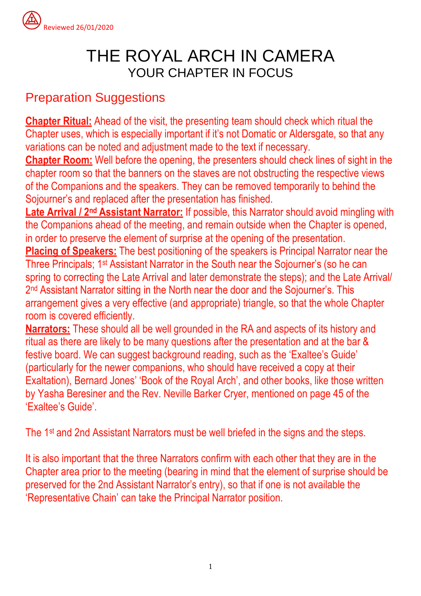

# THE ROYAL ARCH IN CAMERA YOUR CHAPTER IN FOCUS

## Preparation Suggestions

**Chapter Ritual:** Ahead of the visit, the presenting team should check which ritual the Chapter uses, which is especially important if it's not Domatic or Aldersgate, so that any variations can be noted and adjustment made to the text if necessary.

**Chapter Room:** Well before the opening, the presenters should check lines of sight in the chapter room so that the banners on the staves are not obstructing the respective views of the Companions and the speakers. They can be removed temporarily to behind the Sojourner's and replaced after the presentation has finished.

**Late Arrival / 2 nd Assistant Narrator:** If possible, this Narrator should avoid mingling with the Companions ahead of the meeting, and remain outside when the Chapter is opened, in order to preserve the element of surprise at the opening of the presentation.

**Placing of Speakers:** The best positioning of the speakers is Principal Narrator near the Three Principals; 1st Assistant Narrator in the South near the Sojourner's (so he can spring to correcting the Late Arrival and later demonstrate the steps); and the Late Arrival/ 2 nd Assistant Narrator sitting in the North near the door and the Sojourner's. This arrangement gives a very effective (and appropriate) triangle, so that the whole Chapter room is covered efficiently.

**Narrators:** These should all be well grounded in the RA and aspects of its history and ritual as there are likely to be many questions after the presentation and at the bar & festive board. We can suggest background reading, such as the 'Exaltee's Guide' (particularly for the newer companions, who should have received a copy at their Exaltation), Bernard Jones' 'Book of the Royal Arch', and other books, like those written by Yasha Beresiner and the Rev. Neville Barker Cryer, mentioned on page 45 of the 'Exaltee's Guide'.

The 1<sup>st</sup> and 2nd Assistant Narrators must be well briefed in the signs and the steps.

It is also important that the three Narrators confirm with each other that they are in the Chapter area prior to the meeting (bearing in mind that the element of surprise should be preserved for the 2nd Assistant Narrator's entry), so that if one is not available the 'Representative Chain' can take the Principal Narrator position.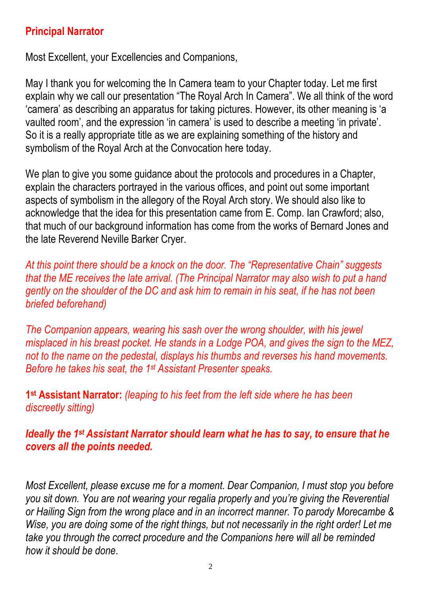## **Principal Narrator**

Most Excellent, your Excellencies and Companions,

May I thank you for welcoming the In Camera team to your Chapter today. Let me first explain why we call our presentation "The Royal Arch In Camera". We all think of the word 'camera' as describing an apparatus for taking pictures. However, its other meaning is 'a vaulted room', and the expression 'in camera' is used to describe a meeting 'in private'. So it is a really appropriate title as we are explaining something of the history and symbolism of the Royal Arch at the Convocation here today.

We plan to give you some guidance about the protocols and procedures in a Chapter, explain the characters portrayed in the various offices, and point out some important aspects of symbolism in the allegory of the Royal Arch story. We should also like to acknowledge that the idea for this presentation came from E. Comp. Ian Crawford; also, that much of our background information has come from the works of Bernard Jones and the late Reverend Neville Barker Cryer.

*At this point there should be a knock on the door. The "Representative Chain" suggests that the ME receives the late arrival. (The Principal Narrator may also wish to put a hand gently on the shoulder of the DC and ask him to remain in his seat, if he has not been briefed beforehand)*

*The Companion appears, wearing his sash over the wrong shoulder, with his jewel misplaced in his breast pocket. He stands in a Lodge POA, and gives the sign to the MEZ, not to the name on the pedestal, displays his thumbs and reverses his hand movements. Before he takes his seat, the 1 st Assistant Presenter speaks.*

**1 st Assistant Narrator:** *(leaping to his feet from the left side where he has been discreetly sitting)*

*Ideally the 1 st Assistant Narrator should learn what he has to say, to ensure that he covers all the points needed.*

*Most Excellent, please excuse me for a moment. Dear Companion, I must stop you before you sit down. You are not wearing your regalia properly and you're giving the Reverential or Hailing Sign from the wrong place and in an incorrect manner. To parody Morecambe & Wise, you are doing some of the right things, but not necessarily in the right order! Let me take you through the correct procedure and the Companions here will all be reminded how it should be done*.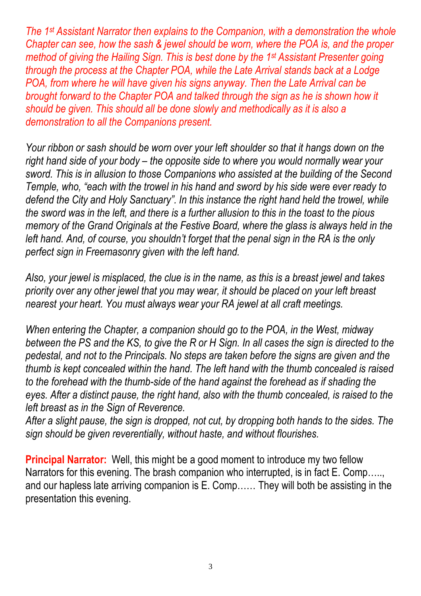*The 1 st Assistant Narrator then explains to the Companion, with a demonstration the whole Chapter can see, how the sash & jewel should be worn, where the POA is, and the proper method of giving the Hailing Sign. This is best done by the 1 st Assistant Presenter going through the process at the Chapter POA, while the Late Arrival stands back at a Lodge POA, from where he will have given his signs anyway. Then the Late Arrival can be brought forward to the Chapter POA and talked through the sign as he is shown how it should be given. This should all be done slowly and methodically as it is also a demonstration to all the Companions present.*

*Your ribbon or sash should be worn over your left shoulder so that it hangs down on the right hand side of your body – the opposite side to where you would normally wear your sword. This is in allusion to those Companions who assisted at the building of the Second Temple, who, "each with the trowel in his hand and sword by his side were ever ready to defend the City and Holy Sanctuary". In this instance the right hand held the trowel, while the sword was in the left, and there is a further allusion to this in the toast to the pious memory of the Grand Originals at the Festive Board, where the glass is always held in the left hand. And, of course, you shouldn't forget that the penal sign in the RA is the only perfect sign in Freemasonry given with the left hand.*

*Also, your jewel is misplaced, the clue is in the name, as this is a breast jewel and takes priority over any other jewel that you may wear, it should be placed on your left breast nearest your heart. You must always wear your RA jewel at all craft meetings.*

*When entering the Chapter, a companion should go to the POA, in the West, midway between the PS and the KS, to give the R or H Sign. In all cases the sign is directed to the pedestal, and not to the Principals. No steps are taken before the signs are given and the thumb is kept concealed within the hand. The left hand with the thumb concealed is raised to the forehead with the thumb-side of the hand against the forehead as if shading the eyes. After a distinct pause, the right hand, also with the thumb concealed, is raised to the left breast as in the Sign of Reverence.*

*After a slight pause, the sign is dropped, not cut, by dropping both hands to the sides. The sign should be given reverentially, without haste, and without flourishes.*

**Principal Narrator:** Well, this might be a good moment to introduce my two fellow Narrators for this evening. The brash companion who interrupted, is in fact E. Comp….., and our hapless late arriving companion is E. Comp…… They will both be assisting in the presentation this evening.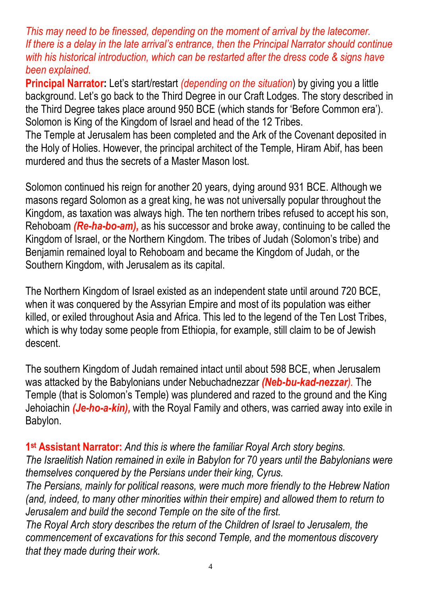*This may need to be finessed, depending on the moment of arrival by the latecomer. If there is a delay in the late arrival's entrance, then the Principal Narrator should continue with his historical introduction, which can be restarted after the dress code & signs have been explained.*

**Principal Narrator:** Let's start/restart *(depending on the situation*) by giving you a little background. Let's go back to the Third Degree in our Craft Lodges. The story described in the Third Degree takes place around 950 BCE (which stands for 'Before Common era'). Solomon is King of the Kingdom of Israel and head of the 12 Tribes.

The Temple at Jerusalem has been completed and the Ark of the Covenant deposited in the Holy of Holies. However, the principal architect of the Temple, Hiram Abif, has been murdered and thus the secrets of a Master Mason lost.

Solomon continued his reign for another 20 years, dying around 931 BCE. Although we masons regard Solomon as a great king, he was not universally popular throughout the Kingdom, as taxation was always high. The ten northern tribes refused to accept his son, Rehoboam *(Re-ha-bo-am),* as his successor and broke away, continuing to be called the Kingdom of Israel, or the Northern Kingdom. The tribes of Judah (Solomon's tribe) and Benjamin remained loyal to Rehoboam and became the Kingdom of Judah, or the Southern Kingdom, with Jerusalem as its capital.

The Northern Kingdom of Israel existed as an independent state until around 720 BCE, when it was conquered by the Assyrian Empire and most of its population was either killed, or exiled throughout Asia and Africa. This led to the legend of the Ten Lost Tribes, which is why today some people from Ethiopia, for example, still claim to be of Jewish descent.

The southern Kingdom of Judah remained intact until about 598 BCE, when Jerusalem was attacked by the Babylonians under Nebuchadnezzar *(Neb-bu-kad-nezzar).* The Temple (that is Solomon's Temple) was plundered and razed to the ground and the King Jehoiachin *(Je-ho-a-kin),* with the Royal Family and others, was carried away into exile in Babylon.

**1 st Assistant Narrator:** *And this is where the familiar Royal Arch story begins. The Israelitish Nation remained in exile in Babylon for 70 years until the Babylonians were themselves conquered by the Persians under their king, Cyrus.*

*The Persians, mainly for political reasons, were much more friendly to the Hebrew Nation (and, indeed, to many other minorities within their empire) and allowed them to return to Jerusalem and build the second Temple on the site of the first.*

*The Royal Arch story describes the return of the Children of Israel to Jerusalem, the commencement of excavations for this second Temple, and the momentous discovery that they made during their work.*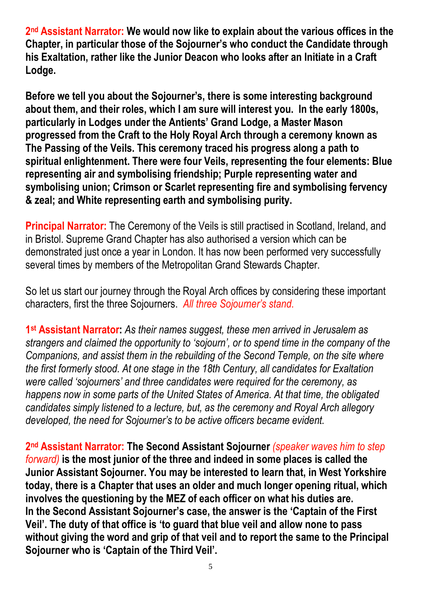**2 nd Assistant Narrator: We would now like to explain about the various offices in the Chapter, in particular those of the Sojourner's who conduct the Candidate through his Exaltation, rather like the Junior Deacon who looks after an Initiate in a Craft Lodge.**

**Before we tell you about the Sojourner's, there is some interesting background about them, and their roles, which I am sure will interest you. In the early 1800s, particularly in Lodges under the Antients' Grand Lodge, a Master Mason progressed from the Craft to the Holy Royal Arch through a ceremony known as The Passing of the Veils. This ceremony traced his progress along a path to spiritual enlightenment. There were four Veils, representing the four elements: Blue representing air and symbolising friendship; Purple representing water and symbolising union; Crimson or Scarlet representing fire and symbolising fervency & zeal; and White representing earth and symbolising purity.**

**Principal Narrator:** The Ceremony of the Veils is still practised in Scotland, Ireland, and in Bristol. Supreme Grand Chapter has also authorised a version which can be demonstrated just once a year in London. It has now been performed very successfully several times by members of the Metropolitan Grand Stewards Chapter.

So let us start our journey through the Royal Arch offices by considering these important characters, first the three Sojourners. *All three Sojourner's stand.*

**1 st Assistant Narrator:** *As their names suggest, these men arrived in Jerusalem as strangers and claimed the opportunity to 'sojourn', or to spend time in the company of the Companions, and assist them in the rebuilding of the Second Temple, on the site where the first formerly stood. At one stage in the 18th Century, all candidates for Exaltation were called 'sojourners' and three candidates were required for the ceremony, as happens now in some parts of the United States of America. At that time, the obligated candidates simply listened to a lecture, but, as the ceremony and Royal Arch allegory developed, the need for Sojourner's to be active officers became evident.*

**2 nd Assistant Narrator: The Second Assistant Sojourner** *(speaker waves him to step forward)* **is the most junior of the three and indeed in some places is called the Junior Assistant Sojourner. You may be interested to learn that, in West Yorkshire today, there is a Chapter that uses an older and much longer opening ritual, which involves the questioning by the MEZ of each officer on what his duties are. In the Second Assistant Sojourner's case, the answer is the 'Captain of the First Veil'. The duty of that office is 'to guard that blue veil and allow none to pass without giving the word and grip of that veil and to report the same to the Principal Sojourner who is 'Captain of the Third Veil'.**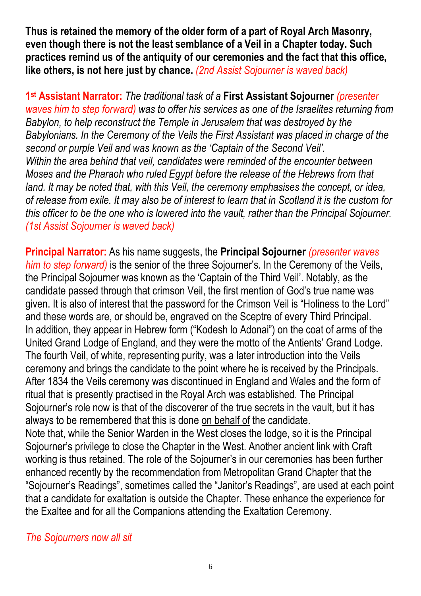**Thus is retained the memory of the older form of a part of Royal Arch Masonry, even though there is not the least semblance of a Veil in a Chapter today. Such practices remind us of the antiquity of our ceremonies and the fact that this office, like others, is not here just by chance.** *(2nd Assist Sojourner is waved back)*

**1 st Assistant Narrator:** *The traditional task of a* **First Assistant Sojourner** *(presenter waves him to step forward) was to offer his services as one of the Israelites returning from Babylon, to help reconstruct the Temple in Jerusalem that was destroyed by the Babylonians. In the Ceremony of the Veils the First Assistant was placed in charge of the second or purple Veil and was known as the 'Captain of the Second Veil'. Within the area behind that veil, candidates were reminded of the encounter between Moses and the Pharaoh who ruled Egypt before the release of the Hebrews from that land. It may be noted that, with this Veil, the ceremony emphasises the concept, or idea, of release from exile. It may also be of interest to learn that in Scotland it is the custom for this officer to be the one who is lowered into the vault, rather than the Principal Sojourner. (1st Assist Sojourner is waved back)*

**Principal Narrator:** As his name suggests, the **Principal Sojourner** *(presenter waves him to step forward)* is the senior of the three Sojourner's. In the Ceremony of the Veils, the Principal Sojourner was known as the 'Captain of the Third Veil'. Notably, as the candidate passed through that crimson Veil, the first mention of God's true name was given. It is also of interest that the password for the Crimson Veil is "Holiness to the Lord" and these words are, or should be, engraved on the Sceptre of every Third Principal. In addition, they appear in Hebrew form ("Kodesh lo Adonai") on the coat of arms of the United Grand Lodge of England, and they were the motto of the Antients' Grand Lodge. The fourth Veil, of white, representing purity, was a later introduction into the Veils ceremony and brings the candidate to the point where he is received by the Principals. After 1834 the Veils ceremony was discontinued in England and Wales and the form of ritual that is presently practised in the Royal Arch was established. The Principal Sojourner's role now is that of the discoverer of the true secrets in the vault, but it has always to be remembered that this is done on behalf of the candidate. Note that, while the Senior Warden in the West closes the lodge, so it is the Principal Sojourner's privilege to close the Chapter in the West. Another ancient link with Craft working is thus retained. The role of the Sojourner's in our ceremonies has been further enhanced recently by the recommendation from Metropolitan Grand Chapter that the "Sojourner's Readings", sometimes called the "Janitor's Readings", are used at each point that a candidate for exaltation is outside the Chapter. These enhance the experience for the Exaltee and for all the Companions attending the Exaltation Ceremony.

*The Sojourners now all sit*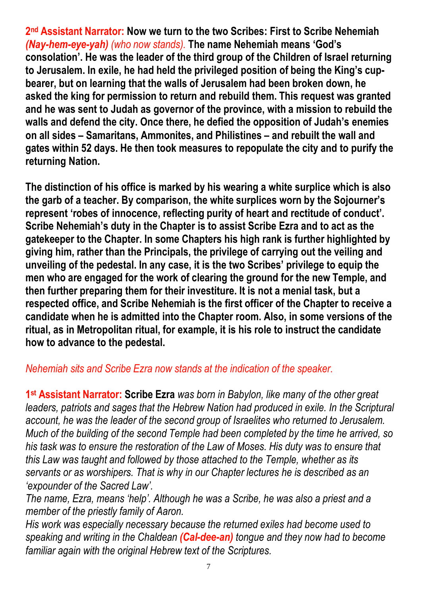**2 nd Assistant Narrator: Now we turn to the two Scribes: First to Scribe Nehemiah**  *(Nay-hem-eye-yah) (who now stands).* **The name Nehemiah means 'God's consolation'. He was the leader of the third group of the Children of Israel returning to Jerusalem. In exile, he had held the privileged position of being the King's cupbearer, but on learning that the walls of Jerusalem had been broken down, he asked the king for permission to return and rebuild them. This request was granted and he was sent to Judah as governor of the province, with a mission to rebuild the walls and defend the city. Once there, he defied the opposition of Judah's enemies on all sides – Samaritans, Ammonites, and Philistines – and rebuilt the wall and gates within 52 days. He then took measures to repopulate the city and to purify the returning Nation.**

**The distinction of his office is marked by his wearing a white surplice which is also the garb of a teacher. By comparison, the white surplices worn by the Sojourner's represent 'robes of innocence, reflecting purity of heart and rectitude of conduct'. Scribe Nehemiah's duty in the Chapter is to assist Scribe Ezra and to act as the gatekeeper to the Chapter. In some Chapters his high rank is further highlighted by giving him, rather than the Principals, the privilege of carrying out the veiling and unveiling of the pedestal. In any case, it is the two Scribes' privilege to equip the men who are engaged for the work of clearing the ground for the new Temple, and then further preparing them for their investiture. It is not a menial task, but a respected office, and Scribe Nehemiah is the first officer of the Chapter to receive a candidate when he is admitted into the Chapter room. Also, in some versions of the ritual, as in Metropolitan ritual, for example, it is his role to instruct the candidate how to advance to the pedestal.**

#### *Nehemiah sits and Scribe Ezra now stands at the indication of the speaker*.

**1 st Assistant Narrator: Scribe Ezra** *was born in Babylon, like many of the other great leaders, patriots and sages that the Hebrew Nation had produced in exile. In the Scriptural account, he was the leader of the second group of Israelites who returned to Jerusalem. Much of the building of the second Temple had been completed by the time he arrived, so his task was to ensure the restoration of the Law of Moses. His duty was to ensure that this Law was taught and followed by those attached to the Temple, whether as its servants or as worshipers. That is why in our Chapter lectures he is described as an 'expounder of the Sacred Law'.*

*The name, Ezra, means 'help'. Although he was a Scribe, he was also a priest and a member of the priestly family of Aaron.*

*His work was especially necessary because the returned exiles had become used to speaking and writing in the Chaldean (Cal-dee-an) tongue and they now had to become familiar again with the original Hebrew text of the Scriptures.*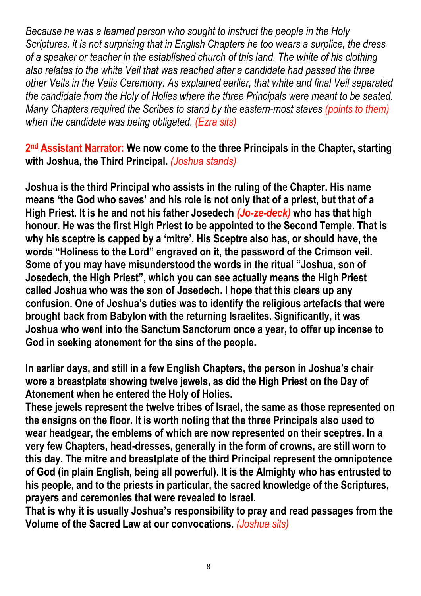*Because he was a learned person who sought to instruct the people in the Holy Scriptures, it is not surprising that in English Chapters he too wears a surplice, the dress of a speaker or teacher in the established church of this land. The white of his clothing also relates to the white Veil that was reached after a candidate had passed the three other Veils in the Veils Ceremony. As explained earlier, that white and final Veil separated the candidate from the Holy of Holies where the three Principals were meant to be seated. Many Chapters required the Scribes to stand by the eastern-most staves (points to them) when the candidate was being obligated. (Ezra sits)*

**2 nd Assistant Narrator: We now come to the three Principals in the Chapter, starting with Joshua, the Third Principal.** *(Joshua stands)*

**Joshua is the third Principal who assists in the ruling of the Chapter. His name means 'the God who saves' and his role is not only that of a priest, but that of a High Priest. It is he and not his father Josedech** *(Jo-ze-deck)* **who has that high honour. He was the first High Priest to be appointed to the Second Temple. That is why his sceptre is capped by a 'mitre'. His Sceptre also has, or should have, the words "Holiness to the Lord" engraved on it, the password of the Crimson veil. Some of you may have misunderstood the words in the ritual "Joshua, son of Josedech, the High Priest", which you can see actually means the High Priest called Joshua who was the son of Josedech. I hope that this clears up any confusion. One of Joshua's duties was to identify the religious artefacts that were brought back from Babylon with the returning Israelites. Significantly, it was Joshua who went into the Sanctum Sanctorum once a year, to offer up incense to God in seeking atonement for the sins of the people.**

**In earlier days, and still in a few English Chapters, the person in Joshua's chair wore a breastplate showing twelve jewels, as did the High Priest on the Day of Atonement when he entered the Holy of Holies.**

**These jewels represent the twelve tribes of Israel, the same as those represented on the ensigns on the floor. It is worth noting that the three Principals also used to wear headgear, the emblems of which are now represented on their sceptres. In a very few Chapters, head-dresses, generally in the form of crowns, are still worn to this day. The mitre and breastplate of the third Principal represent the omnipotence of God (in plain English, being all powerful). It is the Almighty who has entrusted to his people, and to the priests in particular, the sacred knowledge of the Scriptures, prayers and ceremonies that were revealed to Israel.**

**That is why it is usually Joshua's responsibility to pray and read passages from the Volume of the Sacred Law at our convocations.** *(Joshua sits)*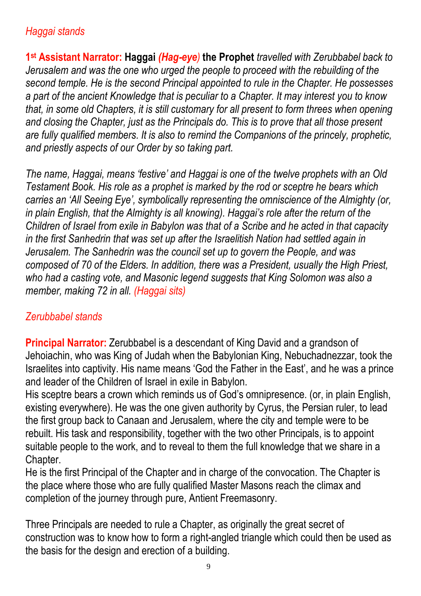## *Haggai stands*

**1 st Assistant Narrator: Haggai** *(Hag-eye)* **the Prophet** *travelled with Zerubbabel back to Jerusalem and was the one who urged the people to proceed with the rebuilding of the second temple. He is the second Principal appointed to rule in the Chapter. He possesses a part of the ancient Knowledge that is peculiar to a Chapter. It may interest you to know that, in some old Chapters, it is still customary for all present to form threes when opening and closing the Chapter, just as the Principals do. This is to prove that all those present are fully qualified members. It is also to remind the Companions of the princely, prophetic, and priestly aspects of our Order by so taking part.*

*The name, Haggai, means 'festive' and Haggai is one of the twelve prophets with an Old Testament Book. His role as a prophet is marked by the rod or sceptre he bears which carries an 'All Seeing Eye', symbolically representing the omniscience of the Almighty (or, in plain English, that the Almighty is all knowing). Haggai's role after the return of the Children of Israel from exile in Babylon was that of a Scribe and he acted in that capacity in the first Sanhedrin that was set up after the Israelitish Nation had settled again in Jerusalem. The Sanhedrin was the council set up to govern the People, and was composed of 70 of the Elders. In addition, there was a President, usually the High Priest, who had a casting vote, and Masonic legend suggests that King Solomon was also a member, making 72 in all. (Haggai sits)*

### *Zerubbabel stands*

**Principal Narrator:** Zerubbabel is a descendant of King David and a grandson of Jehoiachin, who was King of Judah when the Babylonian King, Nebuchadnezzar, took the Israelites into captivity. His name means 'God the Father in the East', and he was a prince and leader of the Children of Israel in exile in Babylon.

His sceptre bears a crown which reminds us of God's omnipresence. (or, in plain English, existing everywhere). He was the one given authority by Cyrus, the Persian ruler, to lead the first group back to Canaan and Jerusalem, where the city and temple were to be rebuilt. His task and responsibility, together with the two other Principals, is to appoint suitable people to the work, and to reveal to them the full knowledge that we share in a Chapter.

He is the first Principal of the Chapter and in charge of the convocation. The Chapter is the place where those who are fully qualified Master Masons reach the climax and completion of the journey through pure, Antient Freemasonry.

Three Principals are needed to rule a Chapter, as originally the great secret of construction was to know how to form a right-angled triangle which could then be used as the basis for the design and erection of a building.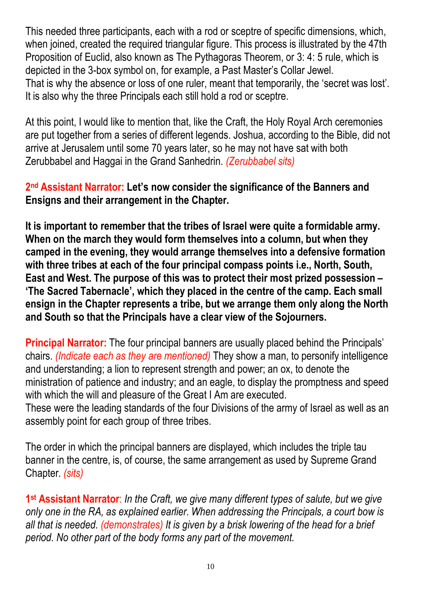This needed three participants, each with a rod or sceptre of specific dimensions, which, when joined, created the required triangular figure. This process is illustrated by the 47th Proposition of Euclid, also known as The Pythagoras Theorem, or 3: 4: 5 rule, which is depicted in the 3-box symbol on, for example, a Past Master's Collar Jewel. That is why the absence or loss of one ruler, meant that temporarily, the 'secret was lost'. It is also why the three Principals each still hold a rod or sceptre.

At this point, I would like to mention that, like the Craft, the Holy Royal Arch ceremonies are put together from a series of different legends. Joshua, according to the Bible, did not arrive at Jerusalem until some 70 years later, so he may not have sat with both Zerubbabel and Haggai in the Grand Sanhedrin. *(Zerubbabel sits)*

**2 nd Assistant Narrator: Let's now consider the significance of the Banners and Ensigns and their arrangement in the Chapter.**

**It is important to remember that the tribes of Israel were quite a formidable army. When on the march they would form themselves into a column, but when they camped in the evening, they would arrange themselves into a defensive formation with three tribes at each of the four principal compass points i.e., North, South, East and West. The purpose of this was to protect their most prized possession – 'The Sacred Tabernacle', which they placed in the centre of the camp. Each small ensign in the Chapter represents a tribe, but we arrange them only along the North and South so that the Principals have a clear view of the Sojourners.**

**Principal Narrator:** The four principal banners are usually placed behind the Principals' chairs. *(Indicate each as they are mentioned)* They show a man, to personify intelligence and understanding; a lion to represent strength and power; an ox, to denote the ministration of patience and industry; and an eagle, to display the promptness and speed with which the will and pleasure of the Great I Am are executed. These were the leading standards of the four Divisions of the army of Israel as well as an assembly point for each group of three tribes.

The order in which the principal banners are displayed, which includes the triple tau banner in the centre, is, of course, the same arrangement as used by Supreme Grand Chapter*. (sits)*

**1 st Assistant Narrator**: *In the Craft, we give many different types of salute, but we give only one in the RA, as explained earlier. When addressing the Principals, a court bow is all that is needed. (demonstrates) It is given by a brisk lowering of the head for a brief period. No other part of the body forms any part of the movement.*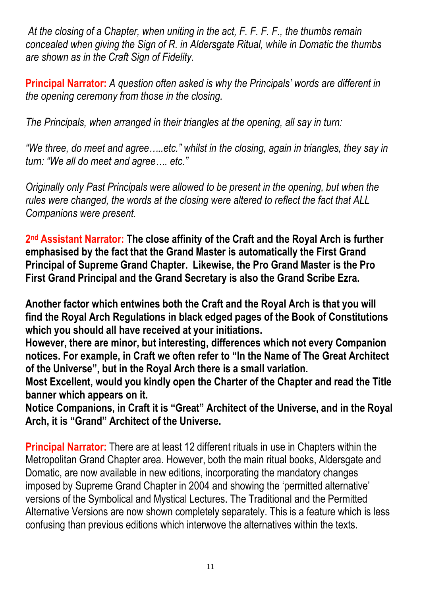*At the closing of a Chapter, when uniting in the act, F. F. F. F., the thumbs remain concealed when giving the Sign of R. in Aldersgate Ritual, while in Domatic the thumbs are shown as in the Craft Sign of Fidelity.*

**Principal Narrator:** *A question often asked is why the Principals' words are different in the opening ceremony from those in the closing.*

*The Principals, when arranged in their triangles at the opening, all say in turn:*

*"We three, do meet and agree…..etc." whilst in the closing, again in triangles, they say in turn: "We all do meet and agree…. etc."*

*Originally only Past Principals were allowed to be present in the opening, but when the rules were changed, the words at the closing were altered to reflect the fact that ALL Companions were present.*

**2 nd Assistant Narrator: The close affinity of the Craft and the Royal Arch is further emphasised by the fact that the Grand Master is automatically the First Grand Principal of Supreme Grand Chapter. Likewise, the Pro Grand Master is the Pro First Grand Principal and the Grand Secretary is also the Grand Scribe Ezra.**

**Another factor which entwines both the Craft and the Royal Arch is that you will find the Royal Arch Regulations in black edged pages of the Book of Constitutions which you should all have received at your initiations.**

**However, there are minor, but interesting, differences which not every Companion notices. For example, in Craft we often refer to "In the Name of The Great Architect of the Universe", but in the Royal Arch there is a small variation.**

**Most Excellent, would you kindly open the Charter of the Chapter and read the Title banner which appears on it.**

**Notice Companions, in Craft it is "Great" Architect of the Universe, and in the Royal Arch, it is "Grand" Architect of the Universe.**

**Principal Narrator:** There are at least 12 different rituals in use in Chapters within the Metropolitan Grand Chapter area. However, both the main ritual books, Aldersgate and Domatic, are now available in new editions, incorporating the mandatory changes imposed by Supreme Grand Chapter in 2004 and showing the 'permitted alternative' versions of the Symbolical and Mystical Lectures. The Traditional and the Permitted Alternative Versions are now shown completely separately. This is a feature which is less confusing than previous editions which interwove the alternatives within the texts.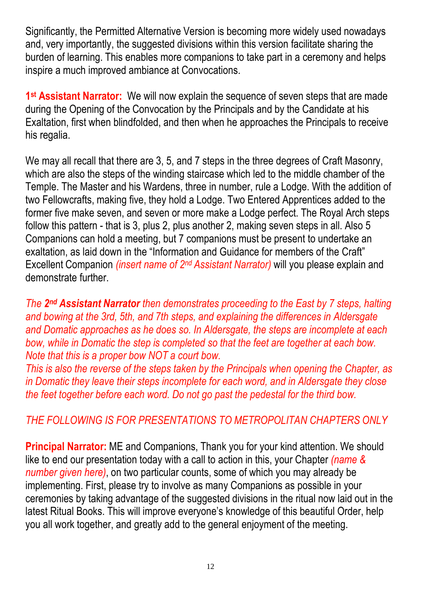Significantly, the Permitted Alternative Version is becoming more widely used nowadays and, very importantly, the suggested divisions within this version facilitate sharing the burden of learning. This enables more companions to take part in a ceremony and helps inspire a much improved ambiance at Convocations.

**1 st Assistant Narrator:** We will now explain the sequence of seven steps that are made during the Opening of the Convocation by the Principals and by the Candidate at his Exaltation, first when blindfolded, and then when he approaches the Principals to receive his regalia.

We may all recall that there are 3, 5, and 7 steps in the three degrees of Craft Masonry, which are also the steps of the winding staircase which led to the middle chamber of the Temple. The Master and his Wardens, three in number, rule a Lodge. With the addition of two Fellowcrafts, making five, they hold a Lodge. Two Entered Apprentices added to the former five make seven, and seven or more make a Lodge perfect. The Royal Arch steps follow this pattern - that is 3, plus 2, plus another 2, making seven steps in all. Also 5 Companions can hold a meeting, but 7 companions must be present to undertake an exaltation, as laid down in the "Information and Guidance for members of the Craft" Excellent Companion *(insert name of 2<sup>nd</sup> Assistant Narrator)* will you please explain and demonstrate further.

*The 2 nd Assistant Narrator then demonstrates proceeding to the East by 7 steps, halting and bowing at the 3rd, 5th, and 7th steps, and explaining the differences in Aldersgate and Domatic approaches as he does so. In Aldersgate, the steps are incomplete at each bow, while in Domatic the step is completed so that the feet are together at each bow. Note that this is a proper bow NOT a court bow.*

*This is also the reverse of the steps taken by the Principals when opening the Chapter, as in Domatic they leave their steps incomplete for each word, and in Aldersgate they close the feet together before each word. Do not go past the pedestal for the third bow.*

### *THE FOLLOWING IS FOR PRESENTATIONS TO METROPOLITAN CHAPTERS ONLY*

**Principal Narrator:** ME and Companions, Thank you for your kind attention. We should like to end our presentation today with a call to action in this, your Chapter *(name & number given here)*, on two particular counts, some of which you may already be implementing. First, please try to involve as many Companions as possible in your ceremonies by taking advantage of the suggested divisions in the ritual now laid out in the latest Ritual Books. This will improve everyone's knowledge of this beautiful Order, help you all work together, and greatly add to the general enjoyment of the meeting.